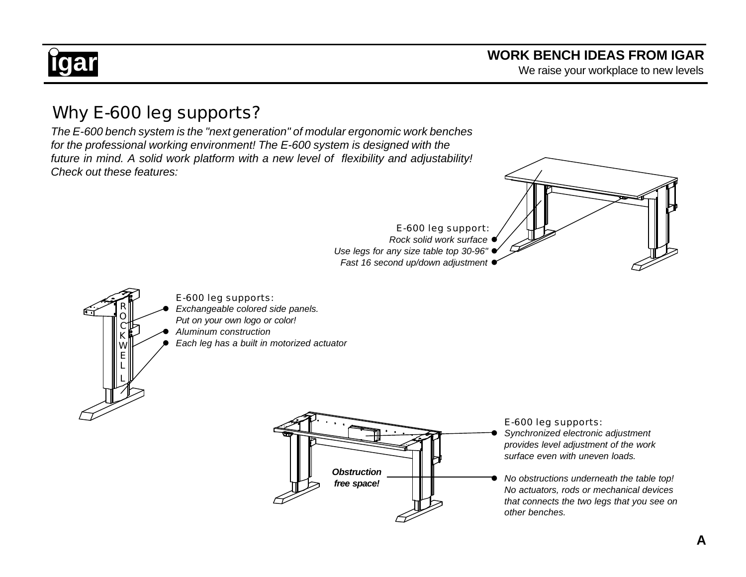## **igar igarrow is a series to the control of the series work BENCH IDEAS FROM IGAR**<br>We raise your workplace to new levels

### Why E-600 leg supports?

*The E-600 bench system is the "next generation" of modular ergonomic work benches for the professional working environment! The E-600 system is designed with the future in mind. A solid work platform with a new level of flexibility and adjustability! Check out these features:*



- E-600 leg support: *Rock solid work surface* l
- *Use legs for any size table top 30-96"* l
- **Fast 16 second up/down adjustment**



E-600 leg supports:

- *Exchangeable colored side panels. Put on your own logo or color!*
- l *Aluminum construction*
- l *Each leg has a built in motorized actuator*



E-600 leg supports: l *Synchronized electronic adjustment provides level adjustment of the work surface even with uneven loads.*

l *No obstructions underneath the table top! No actuators, rods or mechanical devices that connects the two legs that you see on other benches.*